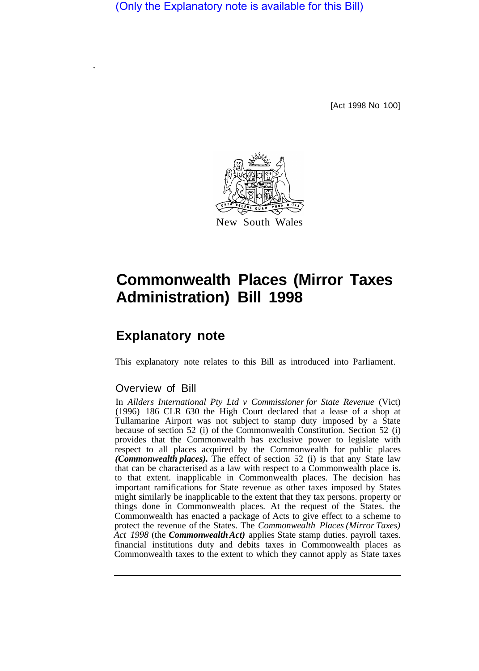(Only the Explanatory note is available for this Bill)

[Act 1998 No 100]



# **Commonwealth Places (Mirror Taxes Administration) Bill 1998**

# **Explanatory note**

This explanatory note relates to this Bill as introduced into Parliament.

# Overview of Bill

In *Allders International Pty Ltd v Commissioner for State Revenue* (Vict) (1996) 186 CLR 630 the High Court declared that a lease of a shop at Tullamarine Airport was not subject to stamp duty imposed by a State because of section 52 (i) of the Commonwealth Constitution. Section 52 (i) provides that the Commonwealth has exclusive power to legislate with respect to all places acquired by the Commonwealth for public places *(Commonwealth places).* The effect of section 52 (i) is that any State law that can be characterised as a law with respect to a Commonwealth place is. to that extent. inapplicable in Commonwealth places. The decision has important ramifications for State revenue as other taxes imposed by States might similarly be inapplicable to the extent that they tax persons. property or things done in Commonwealth places. At the request of the States. the Commonwealth has enacted a package of Acts to give effect to a scheme to protect the revenue of the States. The *Commonwealth Places (Mirror Taxes) Act 1998* (the *Commonwealth Act)* applies State stamp duties. payroll taxes. financial institutions duty and debits taxes in Commonwealth places as Commonwealth taxes to the extent to which they cannot apply as State taxes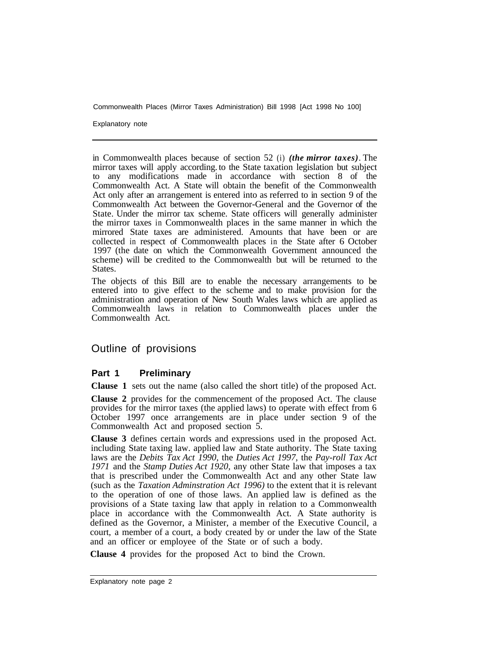Commonwealth Places (Mirror Taxes Administration) Bill 1998 [Act 1998 No 100]

Explanatory note

in Commonwealth places because of section 52 (i) *(the mirror taxes)*. The mirror taxes will apply according. to the State taxation legislation but subject to any modifications made in accordance with section 8 of the Commonwealth Act. A State will obtain the benefit of the Commonwealth Act only after an arrangement is entered into as referred to in section 9 of the Commonwealth Act between the Governor-General and the Governor of the State. Under the mirror tax scheme. State officers will generally administer the mirror taxes in Commonwealth places in the same manner in which the mirrored State taxes are administered. Amounts that have been or are collected in respect of Commonwealth places in the State after 6 October 1997 (the date on which the Commonwealth Government announced the scheme) will be credited to the Commonwealth but will be returned to the States.

The objects of this Bill are to enable the necessary arrangements to be entered into to give effect to the scheme and to make provision for the administration and operation of New South Wales laws which are applied as Commonwealth laws in relation to Commonwealth places under the Commonwealth Act.

#### Outline of provisions

#### **Part 1 Preliminary**

**Clause 1** sets out the name (also called the short title) of the proposed Act.

**Clause 2** provides for the commencement of the proposed Act. The clause provides for the mirror taxes (the applied laws) to operate with effect from 6 October 1997 once arrangements are in place under section 9 of the Commonwealth Act and proposed section 5.

**Clause 3** defines certain words and expressions used in the proposed Act. including State taxing law. applied law and State authority. The State taxing laws are the *Debits Tax Act 1990,* the *Duties Act 1997,* the *Pay-roll Tax Act 1971* and the *Stamp Duties Act 1920,* any other State law that imposes a tax that is prescribed under the Commonwealth Act and any other State law (such as the *Taxation Adminstration Act 1996)* to the extent that it is relevant to the operation of one of those laws. An applied law is defined as the provisions of a State taxing law that apply in relation to a Commonwealth place in accordance with the Commonwealth Act. A State authority is defined as the Governor, a Minister, a member of the Executive Council, a court, a member of a court, a body created by or under the law of the State and an officer or employee of the State or of such a body.

**Clause 4** provides for the proposed Act to bind the Crown.

Explanatory note page 2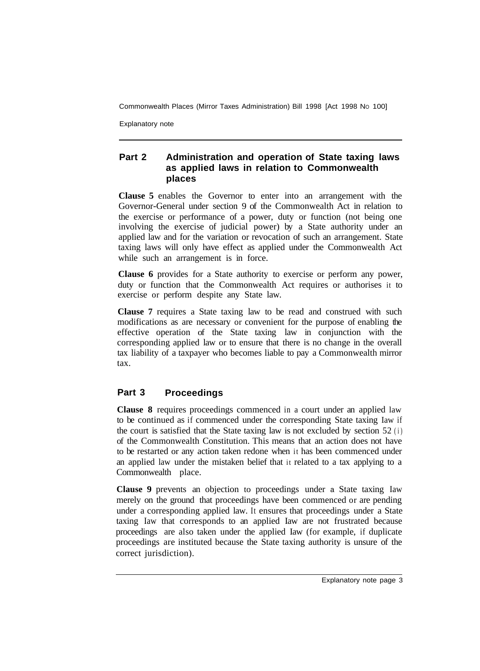Commonwealth Places (Mirror Taxes Administration) Bill 1998 [Act 1998 NO 100]

Explanatory note

### **Part 2 Administration and operation of State taxing laws as applied laws in relation to Commonwealth places**

**Clause 5** enables the Governor to enter into an arrangement with the Governor-General under section 9 of the Commonwealth Act in relation to the exercise or performance of a power, duty or function (not being one involving the exercise of judicial power) by a State authority under an applied law and for the variation or revocation of such an arrangement. State taxing laws will only have effect as applied under the Commonwealth Act while such an arrangement is in force.

**Clause 6** provides for a State authority to exercise or perform any power, duty or function that the Commonwealth Act requires or authorises it to exercise or perform despite any State law.

**Clause 7** requires a State taxing law to be read and construed with such modifications as are necessary or convenient for the purpose of enabling the effective operation of the State taxing law in conjunction with the corresponding applied law or to ensure that there is no change in the overall tax liability of a taxpayer who becomes liable to pay a Commonwealth mirror tax.

# **Part 3 Proceedings**

**Clause 8** requires proceedings commenced in a court under an applied law to be continued as if commenced under the corresponding State taxing Iaw if the court is satisfied that the State taxing law is not excluded by section 52 (i) of the Commonwealth Constitution. This means that an action does not have to be restarted or any action taken redone when it has been commenced under an applied law under the mistaken belief that it related to a tax applying to a Commonwealth place.

**Clause 9** prevents an objection to proceedings under a State taxing Iaw merely on the ground that proceedings have been commenced or are pending under a corresponding applied law. It ensures that proceedings under a State taxing Iaw that corresponds to an applied Iaw are not frustrated because proceedings are also taken under the applied Iaw (for example, if duplicate proceedings are instituted because the State taxing authority is unsure of the correct jurisdiction).